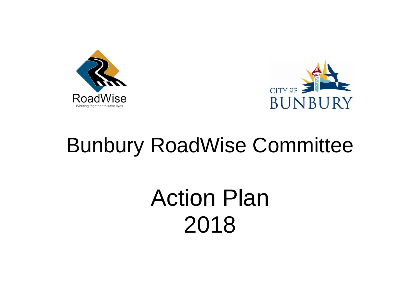



## Bunbury RoadWise Committee

# Action Plan 2018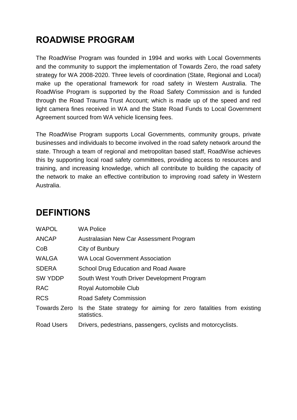#### **ROADWISE PROGRAM**

The RoadWise Program was founded in 1994 and works with Local Governments and the community to support the implementation of Towards Zero, the road safety strategy for WA 2008-2020. Three levels of coordination (State, Regional and Local) make up the operational framework for road safety in Western Australia. The RoadWise Program is supported by the Road Safety Commission and is funded through the Road Trauma Trust Account; which is made up of the speed and red light camera fines received in WA and the State Road Funds to Local Government Agreement sourced from WA vehicle licensing fees.

The RoadWise Program supports Local Governments, community groups, private businesses and individuals to become involved in the road safety network around the state. Through a team of regional and metropolitan based staff, RoadWise achieves this by supporting local road safety committees, providing access to resources and training, and increasing knowledge, which all contribute to building the capacity of the network to make an effective contribution to improving road safety in Western Australia.

| <b>WAPOL</b>        | <b>WA Police</b>                                                                  |  |  |  |  |  |
|---------------------|-----------------------------------------------------------------------------------|--|--|--|--|--|
| <b>ANCAP</b>        | Australasian New Car Assessment Program                                           |  |  |  |  |  |
| CoB                 | City of Bunbury                                                                   |  |  |  |  |  |
| <b>WALGA</b>        | <b>WA Local Government Association</b>                                            |  |  |  |  |  |
| <b>SDERA</b>        | School Drug Education and Road Aware                                              |  |  |  |  |  |
| <b>SW YDDP</b>      | South West Youth Driver Development Program                                       |  |  |  |  |  |
| <b>RAC</b>          | Royal Automobile Club                                                             |  |  |  |  |  |
| <b>RCS</b>          | <b>Road Safety Commission</b>                                                     |  |  |  |  |  |
| <b>Towards Zero</b> | Is the State strategy for aiming for zero fatalities from existing<br>statistics. |  |  |  |  |  |
| <b>Road Users</b>   | Drivers, pedestrians, passengers, cyclists and motorcyclists.                     |  |  |  |  |  |

#### **DEFINTIONS**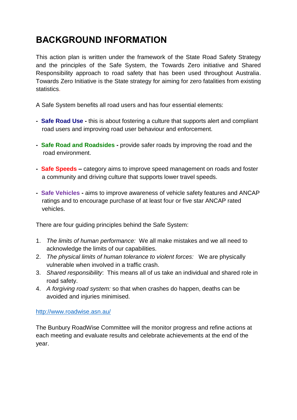#### **BACKGROUND INFORMATION**

This action plan is written under the framework of the State Road Safety Strategy and the principles of the Safe System, the Towards Zero initiative and Shared Responsibility approach to road safety that has been used throughout Australia. Towards Zero Initiative is the State strategy for aiming for zero fatalities from existing statistics.

A Safe System benefits all road users and has four essential elements:

- **Safe Road Use -** this is about fostering a culture that supports alert and compliant road users and improving road user behaviour and enforcement.
- **Safe Road and Roadsides -** provide safer roads by improving the road and the road environment.
- **Safe Speeds –** category aims to improve speed management on roads and foster a community and driving culture that supports lower travel speeds.
- **Safe Vehicles -** aims to improve awareness of vehicle safety features and ANCAP ratings and to encourage purchase of at least four or five star ANCAP rated vehicles.

There are four guiding principles behind the Safe System:

- 1. *The limits of human performance:* We all make mistakes and we all need to acknowledge the limits of our capabilities.
- 2. *The physical limits of human tolerance to violent forces:* We are physically vulnerable when involved in a traffic crash.
- 3. *Shared responsibility*: This means all of us take an individual and shared role in road safety.
- 4. *A forgiving road system:* so that when crashes do happen, deaths can be avoided and injuries minimised.

<http://www.roadwise.asn.au/>

The Bunbury RoadWise Committee will the monitor progress and refine actions at each meeting and evaluate results and celebrate achievements at the end of the year.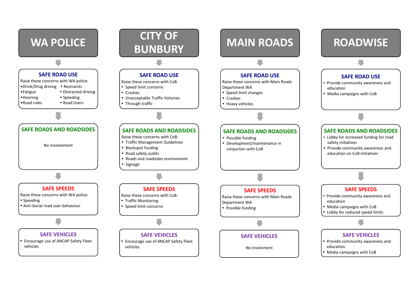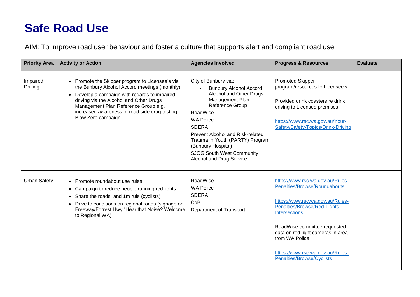## **Safe Road Use**

AIM: To improve road user behaviour and foster a culture that supports alert and compliant road use.

| <b>Priority Area</b>       | <b>Activity or Action</b>                                                                                                                                                                                                                                                                                  | <b>Agencies Involved</b>                                                                                                                                                                                                                                                                                                     | <b>Progress &amp; Resources</b>                                                                                                                                                                                                                                                                                       | <b>Evaluate</b> |  |
|----------------------------|------------------------------------------------------------------------------------------------------------------------------------------------------------------------------------------------------------------------------------------------------------------------------------------------------------|------------------------------------------------------------------------------------------------------------------------------------------------------------------------------------------------------------------------------------------------------------------------------------------------------------------------------|-----------------------------------------------------------------------------------------------------------------------------------------------------------------------------------------------------------------------------------------------------------------------------------------------------------------------|-----------------|--|
| Impaired<br><b>Driving</b> | • Promote the Skipper program to Licensee's via<br>the Bunbury Alcohol Accord meetings (monthly)<br>Develop a campaign with regards to impaired<br>driving via the Alcohol and Other Drugs<br>Management Plan Reference Group e.g.<br>increased awareness of road side drug testing,<br>Blow Zero campaign | City of Bunbury via:<br><b>Bunbury Alcohol Accord</b><br>Alcohol and Other Drugs<br>Management Plan<br>Reference Group<br>RoadWise<br><b>WA Police</b><br><b>SDERA</b><br>Prevent Alcohol and Risk-related<br>Trauma in Youth (PARTY) Program<br>(Bunbury Hospital)<br>SJOG South West Community<br>Alcohol and Drug Service | <b>Promoted Skipper</b><br>program/resources to Licensee's.<br>Provided drink coasters re drink<br>driving to Licensed premises.<br>https://www.rsc.wa.gov.au/Your-<br>Safety/Safety-Topics/Drink-Driving                                                                                                             |                 |  |
| <b>Urban Safety</b>        | • Promote roundabout use rules<br>Campaign to reduce people running red lights<br>$\bullet$<br>Share the roads and 1m rule (cyclists)<br>$\bullet$<br>Drive to conditions on regional roads (signage on<br>Freeway/Forrest Hwy "Hear that Noise? Welcome<br>to Regional WA)                                | RoadWise<br><b>WA Police</b><br><b>SDERA</b><br>CoB<br>Department of Transport                                                                                                                                                                                                                                               | https://www.rsc.wa.gov.au/Rules-<br>Penalties/Browse/Roundabouts<br>https://www.rsc.wa.gov.au/Rules-<br>Penalties/Browse/Red-Lights-<br><b>Intersections</b><br>RoadWise committee requested<br>data on red light cameras in area<br>from WA Police.<br>https://www.rsc.wa.gov.au/Rules-<br>Penalties/Browse/Cyclists |                 |  |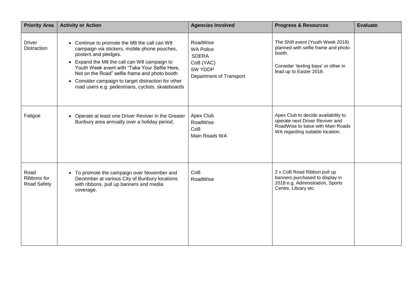| <b>Priority Area</b>                      | <b>Activity or Action</b>                                                                                                                                                                                                                                                                                                                                                        | <b>Agencies Involved</b>                                                                        | <b>Progress &amp; Resources</b>                                                                                                                      | <b>Evaluate</b> |
|-------------------------------------------|----------------------------------------------------------------------------------------------------------------------------------------------------------------------------------------------------------------------------------------------------------------------------------------------------------------------------------------------------------------------------------|-------------------------------------------------------------------------------------------------|------------------------------------------------------------------------------------------------------------------------------------------------------|-----------------|
| <b>Driver</b><br><b>Distraction</b>       | Continue to promote the M8 the call can W8<br>campaign via stickers, mobile phone pouches,<br>posters and pledges.<br>• Expand the M8 the call can W8 campaign to<br>Youth Week event with "Take Your Selfie Here,<br>Not on the Road" selfie frame and photo booth<br>• Consider campaign to target distraction for other<br>road users e.g. pedestrians, cyclists, skateboards | RoadWise<br><b>WA Police</b><br><b>SDERA</b><br>CoB (YAC)<br>SW YDDP<br>Department of Transport | The Shift event (Youth Week 2018)<br>planned with selfie frame and photo<br>booth.<br>Consider 'texting bays' or other in<br>lead up to Easter 2018. |                 |
| Fatigue                                   | • Operate at least one Driver Reviver in the Greater<br>Bunbury area annually over a holiday period.                                                                                                                                                                                                                                                                             | Apex Club<br>RoadWise<br>CoB<br>Main Roads WA                                                   | Apex Club to decide availability to<br>operate next Driver Reviver and<br>RoadWise to liaise with Main Roads<br>WA regarding suitable location.      |                 |
| Road<br>Ribbons for<br><b>Road Safety</b> | • To promote the campaign over November and<br>December at various City of Bunbury locations<br>with ribbons, pull up banners and media<br>coverage.                                                                                                                                                                                                                             | CoB<br>RoadWise                                                                                 | 2 x CoB Road Ribbon pull up<br>banners purchased to display in<br>2018 e.g. Administration, Sports<br>Centre, Library etc.                           |                 |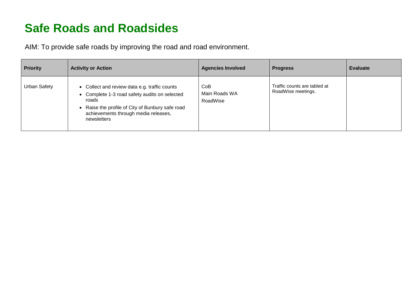## **Safe Roads and Roadsides**

AIM: To provide safe roads by improving the road and road environment.

| <b>Priority</b>     | <b>Activity or Action</b>                                                                                                                                                                                        | <b>Agencies Involved</b>         | <b>Progress</b>                                    | Evaluate |
|---------------------|------------------------------------------------------------------------------------------------------------------------------------------------------------------------------------------------------------------|----------------------------------|----------------------------------------------------|----------|
| <b>Urban Safety</b> | • Collect and review data e.g. traffic counts<br>• Complete 1-3 road safety audits on selected<br>roads<br>Raise the profile of City of Bunbury safe road<br>achievements through media releases,<br>newsletters | CoB<br>Main Roads WA<br>RoadWise | Traffic counts are tabled at<br>RoadWise meetings. |          |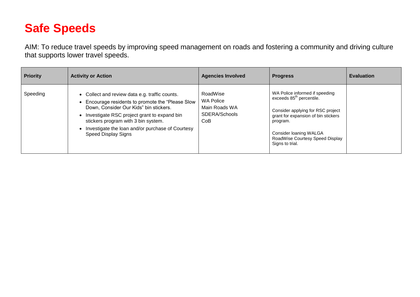## **Safe Speeds**

AIM: To reduce travel speeds by improving speed management on roads and fostering a community and driving culture that supports lower travel speeds.

| <b>Priority</b> | <b>Activity or Action</b>                                                                                                                                                                                                                                                                                                 | <b>Agencies Involved</b>                                              | <b>Progress</b>                                                                                                                                                                                                                                | <b>Evaluation</b> |
|-----------------|---------------------------------------------------------------------------------------------------------------------------------------------------------------------------------------------------------------------------------------------------------------------------------------------------------------------------|-----------------------------------------------------------------------|------------------------------------------------------------------------------------------------------------------------------------------------------------------------------------------------------------------------------------------------|-------------------|
| Speeding        | • Collect and review data e.g. traffic counts.<br>Encourage residents to promote the "Please Slow<br>$\bullet$<br>Down, Consider Our Kids" bin stickers.<br>Investigate RSC project grant to expand bin<br>stickers program with 3 bin system.<br>Investigate the loan and/or purchase of Courtesy<br>Speed Display Signs | RoadWise<br><b>WA Police</b><br>Main Roads WA<br>SDERA/Schools<br>CoB | WA Police informed if speeding<br>exceeds 85 <sup>th</sup> percentile.<br>Consider applying for RSC project<br>grant for expansion of bin stickers<br>program.<br>Consider Ioaning WALGA<br>RoadWise Courtesy Speed Display<br>Signs to trial. |                   |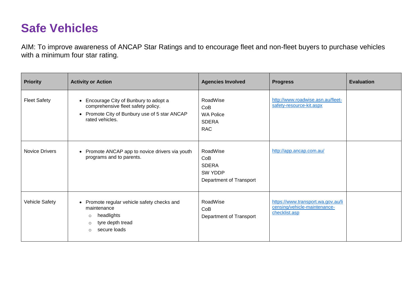### **Safe Vehicles**

AIM: To improve awareness of ANCAP Star Ratings and to encourage fleet and non-fleet buyers to purchase vehicles with a minimum four star rating.

| <b>Priority</b>       | <b>Activity or Action</b>                                                                                                                                   | <b>Agencies Involved</b>                                              | <b>Progress</b>                                                                     | <b>Evaluation</b> |
|-----------------------|-------------------------------------------------------------------------------------------------------------------------------------------------------------|-----------------------------------------------------------------------|-------------------------------------------------------------------------------------|-------------------|
| <b>Fleet Safety</b>   | Encourage City of Bunbury to adopt a<br>$\bullet$<br>comprehensive fleet safety policy.<br>• Promote City of Bunbury use of 5 star ANCAP<br>rated vehicles. | RoadWise<br>CoB<br><b>WA Police</b><br><b>SDERA</b><br><b>RAC</b>     | http://www.roadwise.asn.au/fleet-<br>safety-resource-kit.aspx                       |                   |
| <b>Novice Drivers</b> | • Promote ANCAP app to novice drivers via youth<br>programs and to parents.                                                                                 | RoadWise<br>CoB<br><b>SDERA</b><br>SW YDDP<br>Department of Transport | http://app.ancap.com.au/                                                            |                   |
| Vehicle Safety        | • Promote regular vehicle safety checks and<br>maintenance<br>headlights<br>$\circ$<br>tyre depth tread<br>$\circ$<br>secure loads<br>$\Omega$              | RoadWise<br>CoB<br>Department of Transport                            | https://www.transport.wa.gov.au/li<br>censing/vehicle-maintenance-<br>checklist.asp |                   |